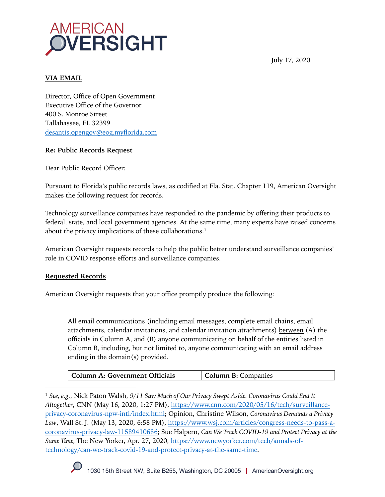

July 17, 2020

## **VIA EMAIL**

Director, Office of Open Government Executive Office of the Governor 400 S. Monroe Street Tallahassee, FL 32399 desantis.opengov@eog.myflorida.com

## **Re: Public Records Request**

Dear Public Record Officer:

Pursuant to Florida's public records laws, as codified at Fla. Stat. Chapter 119, American Oversight makes the following request for records.

Technology surveillance companies have responded to the pandemic by offering their products to federal, state, and local government agencies. At the same time, many experts have raised concerns about the privacy implications of these collaborations.<sup>1</sup>

American Oversight requests records to help the public better understand surveillance companies' role in COVID response efforts and surveillance companies.

## **Requested Records**

American Oversight requests that your office promptly produce the following:

All email communications (including email messages, complete email chains, email attachments, calendar invitations, and calendar invitation attachments) between (A) the officials in Column A, and (B) anyone communicating on behalf of the entities listed in Column B, including, but not limited to, anyone communicating with an email address ending in the domain(s) provided.

| Column A: Government Officials | <b>Column B:</b> Companies |
|--------------------------------|----------------------------|
|--------------------------------|----------------------------|

<sup>1</sup> *See, e.g.*, Nick Paton Walsh, *9/11 Saw Much of Our Privacy Swept Aside. Coronavirus Could End It Altogether*, CNN (May 16, 2020, 1:27 PM), https://www.cnn.com/2020/05/16/tech/surveillanceprivacy-coronavirus-npw-intl/index.html; Opinion, Christine Wilson, *Coronavirus Demands a Privacy Law*, Wall St. J. (May 13, 2020, 6:58 PM), https://www.wsj.com/articles/congress-needs-to-pass-acoronavirus-privacy-law-11589410686; Sue Halpern, *Can We Track COVID-19 and Protect Privacy at the Same Time,* The New Yorker, Apr. 27, 2020, https://www.newyorker.com/tech/annals-oftechnology/can-we-track-covid-19-and-protect-privacy-at-the-same-time.

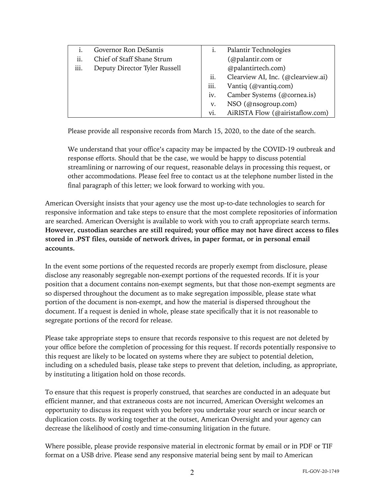|      | Governor Ron DeSantis         |      | Palantir Technologies              |
|------|-------------------------------|------|------------------------------------|
| ii.  | Chief of Staff Shane Strum    |      | (@palantir.com or                  |
| iii. | Deputy Director Tyler Russell |      | @palantirtech.com)                 |
|      |                               | ii.  | Clearview AI, Inc. (@clearview.ai) |
|      |                               | iii. | Vantiq (@vantiq.com)               |
|      |                               | iv.  | Camber Systems (@cornea.is)        |
|      |                               | v.   | NSO (@nsogroup.com)                |
|      |                               | vi.  | AiRISTA Flow (@airistaflow.com)    |

Please provide all responsive records from March 15, 2020, to the date of the search.

We understand that your office's capacity may be impacted by the COVID-19 outbreak and response efforts. Should that be the case, we would be happy to discuss potential streamlining or narrowing of our request, reasonable delays in processing this request, or other accommodations. Please feel free to contact us at the telephone number listed in the final paragraph of this letter; we look forward to working with you.

American Oversight insists that your agency use the most up-to-date technologies to search for responsive information and take steps to ensure that the most complete repositories of information are searched. American Oversight is available to work with you to craft appropriate search terms. **However, custodian searches are still required; your office may not have direct access to files stored in .PST files, outside of network drives, in paper format, or in personal email accounts.**

In the event some portions of the requested records are properly exempt from disclosure, please disclose any reasonably segregable non-exempt portions of the requested records. If it is your position that a document contains non-exempt segments, but that those non-exempt segments are so dispersed throughout the document as to make segregation impossible, please state what portion of the document is non-exempt, and how the material is dispersed throughout the document. If a request is denied in whole, please state specifically that it is not reasonable to segregate portions of the record for release.

Please take appropriate steps to ensure that records responsive to this request are not deleted by your office before the completion of processing for this request. If records potentially responsive to this request are likely to be located on systems where they are subject to potential deletion, including on a scheduled basis, please take steps to prevent that deletion, including, as appropriate, by instituting a litigation hold on those records.

To ensure that this request is properly construed, that searches are conducted in an adequate but efficient manner, and that extraneous costs are not incurred, American Oversight welcomes an opportunity to discuss its request with you before you undertake your search or incur search or duplication costs. By working together at the outset, American Oversight and your agency can decrease the likelihood of costly and time-consuming litigation in the future.

Where possible, please provide responsive material in electronic format by email or in PDF or TIF format on a USB drive. Please send any responsive material being sent by mail to American